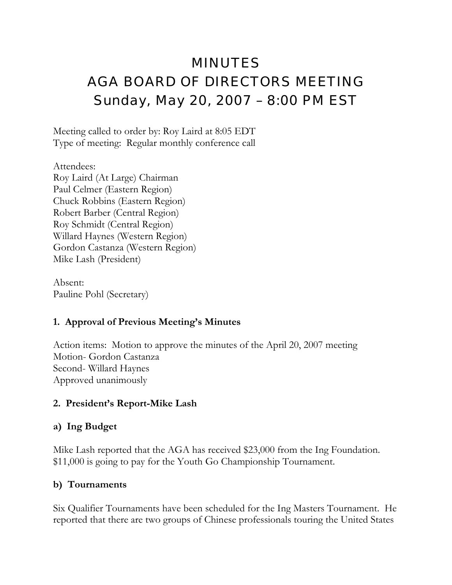# MINUTES AGA BOARD OF DIRECTORS MEETING Sunday, May 20, 2007 – 8:00 PM EST

Meeting called to order by: Roy Laird at 8:05 EDT Type of meeting: Regular monthly conference call

Attendees: Roy Laird (At Large) Chairman Paul Celmer (Eastern Region) Chuck Robbins (Eastern Region) Robert Barber (Central Region) Roy Schmidt (Central Region) Willard Haynes (Western Region) Gordon Castanza (Western Region) Mike Lash (President)

Absent: Pauline Pohl (Secretary)

# **1. Approval of Previous Meeting's Minutes**

Action items: Motion to approve the minutes of the April 20, 2007 meeting Motion- Gordon Castanza Second- Willard Haynes Approved unanimously

# **2. President's Report-Mike Lash**

## **a) Ing Budget**

Mike Lash reported that the AGA has received \$23,000 from the Ing Foundation. \$11,000 is going to pay for the Youth Go Championship Tournament.

# **b) Tournaments**

Six Qualifier Tournaments have been scheduled for the Ing Masters Tournament. He reported that there are two groups of Chinese professionals touring the United States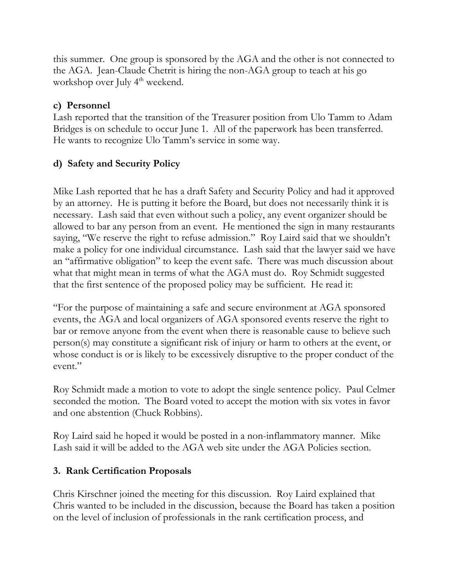this summer. One group is sponsored by the AGA and the other is not connected to the AGA. Jean-Claude Chetrit is hiring the non-AGA group to teach at his go workshop over July 4<sup>th</sup> weekend.

## **c) Personnel**

Lash reported that the transition of the Treasurer position from Ulo Tamm to Adam Bridges is on schedule to occur June 1. All of the paperwork has been transferred. He wants to recognize Ulo Tamm's service in some way.

## **d) Safety and Security Policy**

Mike Lash reported that he has a draft Safety and Security Policy and had it approved by an attorney. He is putting it before the Board, but does not necessarily think it is necessary. Lash said that even without such a policy, any event organizer should be allowed to bar any person from an event. He mentioned the sign in many restaurants saying, "We reserve the right to refuse admission." Roy Laird said that we shouldn't make a policy for one individual circumstance. Lash said that the lawyer said we have an "affirmative obligation" to keep the event safe. There was much discussion about what that might mean in terms of what the AGA must do. Roy Schmidt suggested that the first sentence of the proposed policy may be sufficient. He read it:

"For the purpose of maintaining a safe and secure environment at AGA sponsored events, the AGA and local organizers of AGA sponsored events reserve the right to bar or remove anyone from the event when there is reasonable cause to believe such person(s) may constitute a significant risk of injury or harm to others at the event, or whose conduct is or is likely to be excessively disruptive to the proper conduct of the event."

Roy Schmidt made a motion to vote to adopt the single sentence policy. Paul Celmer seconded the motion. The Board voted to accept the motion with six votes in favor and one abstention (Chuck Robbins).

Roy Laird said he hoped it would be posted in a non-inflammatory manner. Mike Lash said it will be added to the AGA web site under the AGA Policies section.

## **3. Rank Certification Proposals**

Chris Kirschner joined the meeting for this discussion. Roy Laird explained that Chris wanted to be included in the discussion, because the Board has taken a position on the level of inclusion of professionals in the rank certification process, and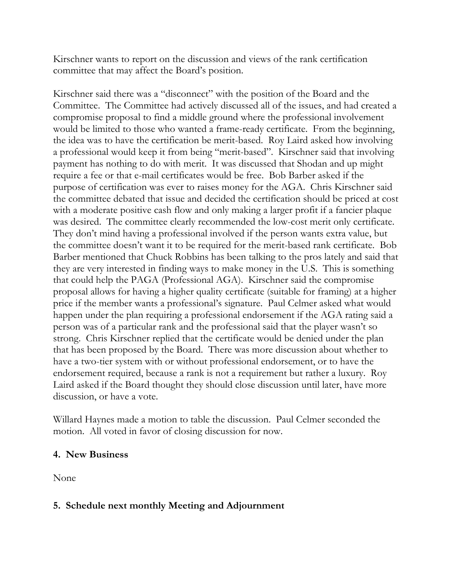Kirschner wants to report on the discussion and views of the rank certification committee that may affect the Board's position.

Kirschner said there was a "disconnect" with the position of the Board and the Committee. The Committee had actively discussed all of the issues, and had created a compromise proposal to find a middle ground where the professional involvement would be limited to those who wanted a frame-ready certificate. From the beginning, the idea was to have the certification be merit-based. Roy Laird asked how involving a professional would keep it from being "merit-based". Kirschner said that involving payment has nothing to do with merit. It was discussed that Shodan and up might require a fee or that e-mail certificates would be free. Bob Barber asked if the purpose of certification was ever to raises money for the AGA. Chris Kirschner said the committee debated that issue and decided the certification should be priced at cost with a moderate positive cash flow and only making a larger profit if a fancier plaque was desired. The committee clearly recommended the low-cost merit only certificate. They don't mind having a professional involved if the person wants extra value, but the committee doesn't want it to be required for the merit-based rank certificate. Bob Barber mentioned that Chuck Robbins has been talking to the pros lately and said that they are very interested in finding ways to make money in the U.S. This is something that could help the PAGA (Professional AGA). Kirschner said the compromise proposal allows for having a higher quality certificate (suitable for framing) at a higher price if the member wants a professional's signature. Paul Celmer asked what would happen under the plan requiring a professional endorsement if the AGA rating said a person was of a particular rank and the professional said that the player wasn't so strong. Chris Kirschner replied that the certificate would be denied under the plan that has been proposed by the Board. There was more discussion about whether to have a two-tier system with or without professional endorsement, or to have the endorsement required, because a rank is not a requirement but rather a luxury. Roy Laird asked if the Board thought they should close discussion until later, have more discussion, or have a vote.

Willard Haynes made a motion to table the discussion. Paul Celmer seconded the motion. All voted in favor of closing discussion for now.

#### **4. New Business**

None

#### **5. Schedule next monthly Meeting and Adjournment**